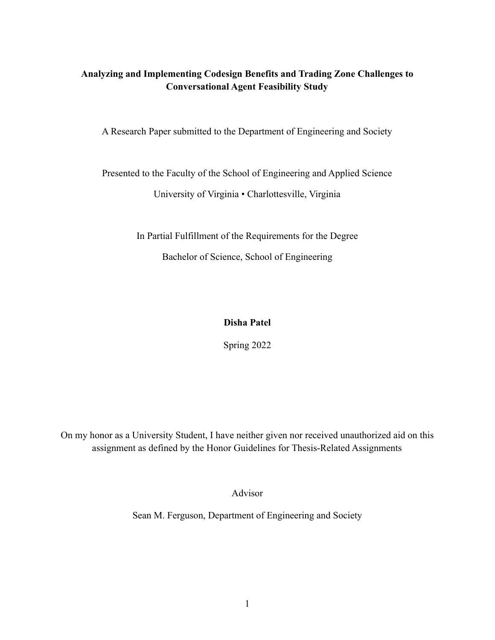# **Analyzing and Implementing Codesign Benefits and Trading Zone Challenges to Conversational Agent Feasibility Study**

A Research Paper submitted to the Department of Engineering and Society

Presented to the Faculty of the School of Engineering and Applied Science

University of Virginia • Charlottesville, Virginia

In Partial Fulfillment of the Requirements for the Degree

Bachelor of Science, School of Engineering

# **Disha Patel**

Spring 2022

On my honor as a University Student, I have neither given nor received unauthorized aid on this assignment as defined by the Honor Guidelines for Thesis-Related Assignments

Advisor

Sean M. Ferguson, Department of Engineering and Society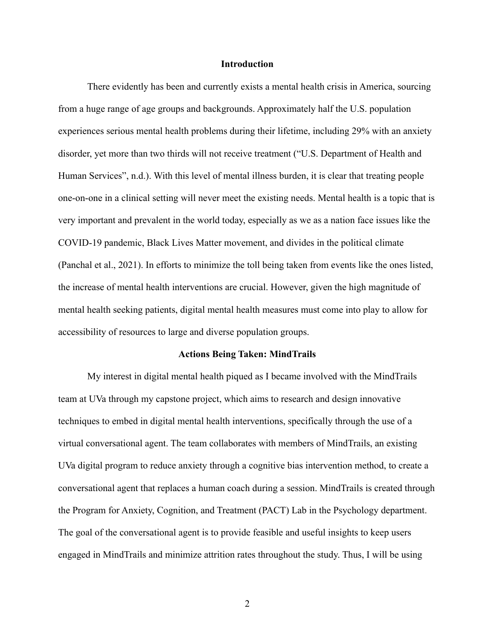### **Introduction**

There evidently has been and currently exists a mental health crisis in America, sourcing from a huge range of age groups and backgrounds. Approximately half the U.S. population experiences serious mental health problems during their lifetime, including 29% with an anxiety disorder, yet more than two thirds will not receive treatment ("U.S. Department of Health and Human Services", n.d.). With this level of mental illness burden, it is clear that treating people one-on-one in a clinical setting will never meet the existing needs. Mental health is a topic that is very important and prevalent in the world today, especially as we as a nation face issues like the COVID-19 pandemic, Black Lives Matter movement, and divides in the political climate (Panchal et al., 2021). In efforts to minimize the toll being taken from events like the ones listed, the increase of mental health interventions are crucial. However, given the high magnitude of mental health seeking patients, digital mental health measures must come into play to allow for accessibility of resources to large and diverse population groups.

#### **Actions Being Taken: MindTrails**

My interest in digital mental health piqued as I became involved with the MindTrails team at UVa through my capstone project, which aims to research and design innovative techniques to embed in digital mental health interventions, specifically through the use of a virtual conversational agent. The team collaborates with members of MindTrails, an existing UVa digital program to reduce anxiety through a cognitive bias intervention method, to create a conversational agent that replaces a human coach during a session. MindTrails is created through the Program for Anxiety, Cognition, and Treatment (PACT) Lab in the Psychology department. The goal of the conversational agent is to provide feasible and useful insights to keep users engaged in MindTrails and minimize attrition rates throughout the study. Thus, I will be using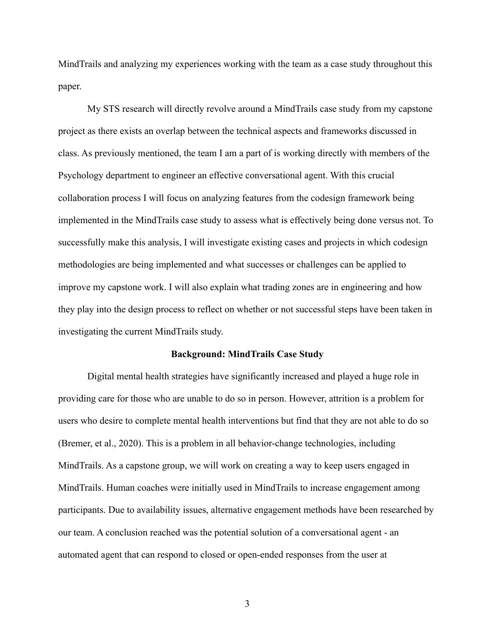MindTrails and analyzing my experiences working with the team as a case study throughout this paper.

My STS research will directly revolve around a MindTrails case study from my capstone project as there exists an overlap between the technical aspects and frameworks discussed in class. As previously mentioned, the team I am a part of is working directly with members of the Psychology department to engineer an effective conversational agent. With this crucial collaboration process I will focus on analyzing features from the codesign framework being implemented in the MindTrails case study to assess what is effectively being done versus not. To successfully make this analysis, I will investigate existing cases and projects in which codesign methodologies are being implemented and what successes or challenges can be applied to improve my capstone work. I will also explain what trading zones are in engineering and how they play into the design process to reflect on whether or not successful steps have been taken in investigating the current MindTrails study.

#### **Background: MindTrails Case Study**

Digital mental health strategies have significantly increased and played a huge role in providing care for those who are unable to do so in person. However, attrition is a problem for users who desire to complete mental health interventions but find that they are not able to do so (Bremer, et al., 2020). This is a problem in all behavior-change technologies, including MindTrails. As a capstone group, we will work on creating a way to keep users engaged in MindTrails. Human coaches were initially used in MindTrails to increase engagement among participants. Due to availability issues, alternative engagement methods have been researched by our team. A conclusion reached was the potential solution of a conversational agent - an automated agent that can respond to closed or open-ended responses from the user at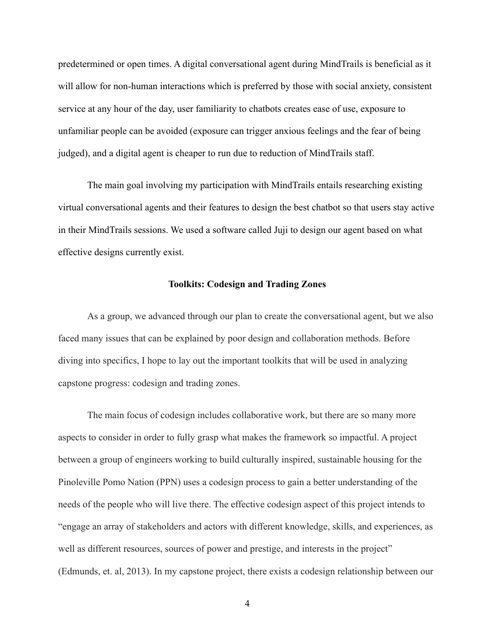predetermined or open times. A digital conversational agent during MindTrails is beneficial as it will allow for non-human interactions which is preferred by those with social anxiety, consistent service at any hour of the day, user familiarity to chatbots creates ease of use, exposure to unfamiliar people can be avoided (exposure can trigger anxious feelings and the fear of being judged), and a digital agent is cheaper to run due to reduction of MindTrails staff.

The main goal involving my participation with MindTrails entails researching existing virtual conversational agents and their features to design the best chatbot so that users stay active in their MindTrails sessions. We used a software called Juji to design our agent based on what effective designs currently exist.

### **Toolkits: Codesign and Trading Zones**

As a group, we advanced through our plan to create the conversational agent, but we also faced many issues that can be explained by poor design and collaboration methods. Before diving into specifics, I hope to lay out the important toolkits that will be used in analyzing capstone progress: codesign and trading zones.

The main focus of codesign includes collaborative work, but there are so many more aspects to consider in order to fully grasp what makes the framework so impactful. A project between a group of engineers working to build culturally inspired, sustainable housing for the Pinoleville Pomo Nation (PPN) uses a codesign process to gain a better understanding of the needs of the people who will live there. The effective codesign aspect of this project intends to "engage an array of stakeholders and actors with different knowledge, skills, and experiences, as well as different resources, sources of power and prestige, and interests in the project" (Edmunds, et. al, 2013). In my capstone project, there exists a codesign relationship between our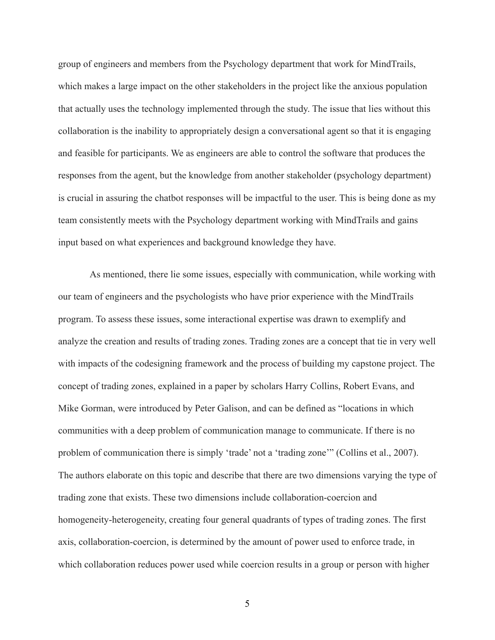group of engineers and members from the Psychology department that work for MindTrails, which makes a large impact on the other stakeholders in the project like the anxious population that actually uses the technology implemented through the study. The issue that lies without this collaboration is the inability to appropriately design a conversational agent so that it is engaging and feasible for participants. We as engineers are able to control the software that produces the responses from the agent, but the knowledge from another stakeholder (psychology department) is crucial in assuring the chatbot responses will be impactful to the user. This is being done as my team consistently meets with the Psychology department working with MindTrails and gains input based on what experiences and background knowledge they have.

As mentioned, there lie some issues, especially with communication, while working with our team of engineers and the psychologists who have prior experience with the MindTrails program. To assess these issues, some interactional expertise was drawn to exemplify and analyze the creation and results of trading zones. Trading zones are a concept that tie in very well with impacts of the codesigning framework and the process of building my capstone project. The concept of trading zones, explained in a paper by scholars Harry Collins, Robert Evans, and Mike Gorman, were introduced by Peter Galison, and can be defined as "locations in which communities with a deep problem of communication manage to communicate. If there is no problem of communication there is simply 'trade' not a 'trading zone'" (Collins et al., 2007). The authors elaborate on this topic and describe that there are two dimensions varying the type of trading zone that exists. These two dimensions include collaboration-coercion and homogeneity-heterogeneity, creating four general quadrants of types of trading zones. The first axis, collaboration-coercion, is determined by the amount of power used to enforce trade, in which collaboration reduces power used while coercion results in a group or person with higher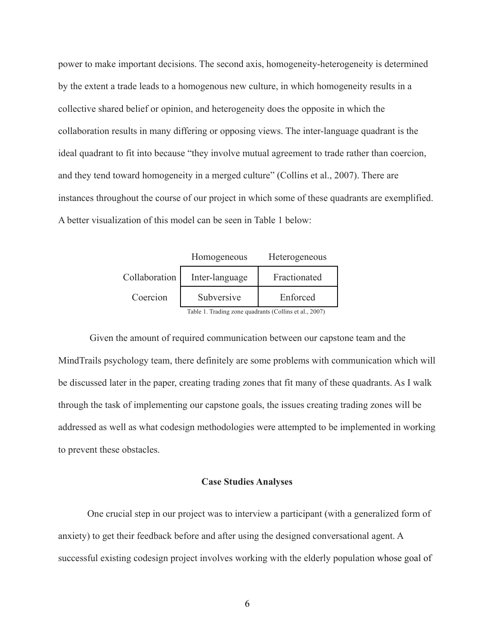power to make important decisions. The second axis, homogeneity-heterogeneity is determined by the extent a trade leads to a homogenous new culture, in which homogeneity results in a collective shared belief or opinion, and heterogeneity does the opposite in which the collaboration results in many differing or opposing views. The inter-language quadrant is the ideal quadrant to fit into because "they involve mutual agreement to trade rather than coercion, and they tend toward homogeneity in a merged culture" (Collins et al., 2007). There are instances throughout the course of our project in which some of these quadrants are exemplified. A better visualization of this model can be seen in Table 1 below:

|               | Homogeneous                                            | Heterogeneous |
|---------------|--------------------------------------------------------|---------------|
| Collaboration | Inter-language                                         | Fractionated  |
| Coercion      | Subversive                                             | Enforced      |
|               | Table 1. Trading zone quadrants (Collins et al., 2007) |               |

Given the amount of required communication between our capstone team and the MindTrails psychology team, there definitely are some problems with communication which will be discussed later in the paper, creating trading zones that fit many of these quadrants. As I walk through the task of implementing our capstone goals, the issues creating trading zones will be addressed as well as what codesign methodologies were attempted to be implemented in working to prevent these obstacles.

#### **Case Studies Analyses**

One crucial step in our project was to interview a participant (with a generalized form of anxiety) to get their feedback before and after using the designed conversational agent. A successful existing codesign project involves working with the elderly population whose goal of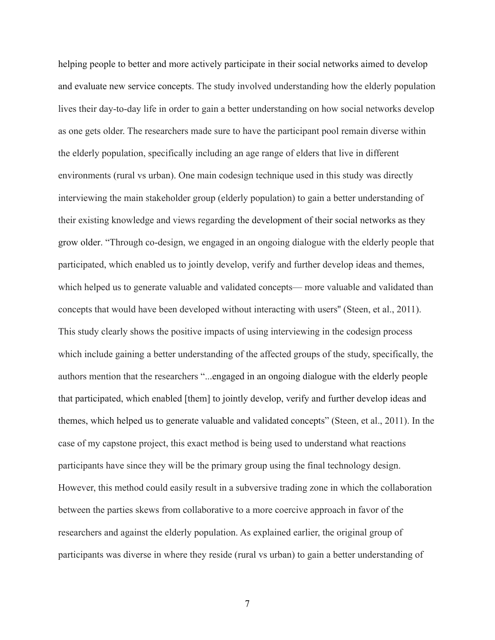helping people to better and more actively participate in their social networks aimed to develop and evaluate new service concepts. The study involved understanding how the elderly population lives their day-to-day life in order to gain a better understanding on how social networks develop as one gets older. The researchers made sure to have the participant pool remain diverse within the elderly population, specifically including an age range of elders that live in different environments (rural vs urban). One main codesign technique used in this study was directly interviewing the main stakeholder group (elderly population) to gain a better understanding of their existing knowledge and views regarding the development of their social networks as they grow older. "Through co-design, we engaged in an ongoing dialogue with the elderly people that participated, which enabled us to jointly develop, verify and further develop ideas and themes, which helped us to generate valuable and validated concepts— more valuable and validated than concepts that would have been developed without interacting with users'' (Steen, et al., 2011). This study clearly shows the positive impacts of using interviewing in the codesign process which include gaining a better understanding of the affected groups of the study, specifically, the authors mention that the researchers "...engaged in an ongoing dialogue with the elderly people that participated, which enabled [them] to jointly develop, verify and further develop ideas and themes, which helped us to generate valuable and validated concepts" (Steen, et al., 2011). In the case of my capstone project, this exact method is being used to understand what reactions participants have since they will be the primary group using the final technology design. However, this method could easily result in a subversive trading zone in which the collaboration between the parties skews from collaborative to a more coercive approach in favor of the researchers and against the elderly population. As explained earlier, the original group of participants was diverse in where they reside (rural vs urban) to gain a better understanding of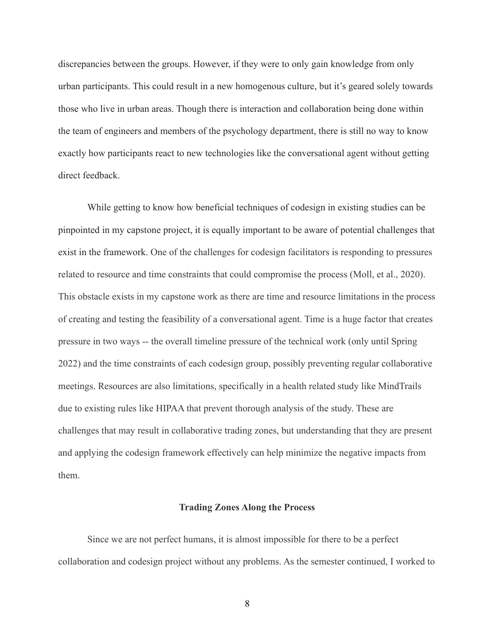discrepancies between the groups. However, if they were to only gain knowledge from only urban participants. This could result in a new homogenous culture, but it's geared solely towards those who live in urban areas. Though there is interaction and collaboration being done within the team of engineers and members of the psychology department, there is still no way to know exactly how participants react to new technologies like the conversational agent without getting direct feedback.

While getting to know how beneficial techniques of codesign in existing studies can be pinpointed in my capstone project, it is equally important to be aware of potential challenges that exist in the framework. One of the challenges for codesign facilitators is responding to pressures related to resource and time constraints that could compromise the process (Moll, et al., 2020). This obstacle exists in my capstone work as there are time and resource limitations in the process of creating and testing the feasibility of a conversational agent. Time is a huge factor that creates pressure in two ways -- the overall timeline pressure of the technical work (only until Spring 2022) and the time constraints of each codesign group, possibly preventing regular collaborative meetings. Resources are also limitations, specifically in a health related study like MindTrails due to existing rules like HIPAA that prevent thorough analysis of the study. These are challenges that may result in collaborative trading zones, but understanding that they are present and applying the codesign framework effectively can help minimize the negative impacts from them.

# **Trading Zones Along the Process**

Since we are not perfect humans, it is almost impossible for there to be a perfect collaboration and codesign project without any problems. As the semester continued, I worked to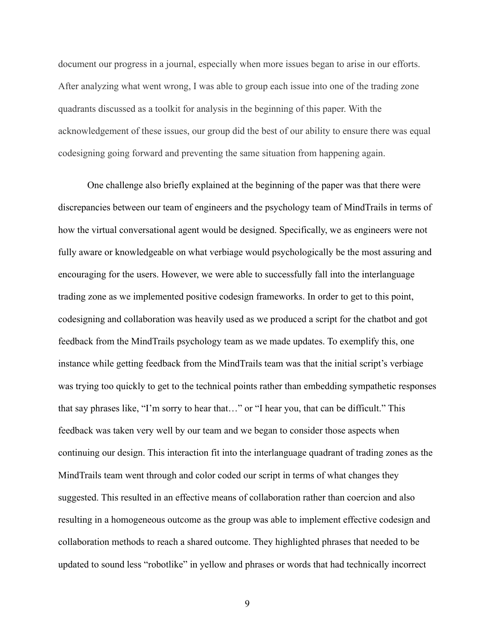document our progress in a journal, especially when more issues began to arise in our efforts. After analyzing what went wrong, I was able to group each issue into one of the trading zone quadrants discussed as a toolkit for analysis in the beginning of this paper. With the acknowledgement of these issues, our group did the best of our ability to ensure there was equal codesigning going forward and preventing the same situation from happening again.

One challenge also briefly explained at the beginning of the paper was that there were discrepancies between our team of engineers and the psychology team of MindTrails in terms of how the virtual conversational agent would be designed. Specifically, we as engineers were not fully aware or knowledgeable on what verbiage would psychologically be the most assuring and encouraging for the users. However, we were able to successfully fall into the interlanguage trading zone as we implemented positive codesign frameworks. In order to get to this point, codesigning and collaboration was heavily used as we produced a script for the chatbot and got feedback from the MindTrails psychology team as we made updates. To exemplify this, one instance while getting feedback from the MindTrails team was that the initial script's verbiage was trying too quickly to get to the technical points rather than embedding sympathetic responses that say phrases like, "I'm sorry to hear that…" or "I hear you, that can be difficult." This feedback was taken very well by our team and we began to consider those aspects when continuing our design. This interaction fit into the interlanguage quadrant of trading zones as the MindTrails team went through and color coded our script in terms of what changes they suggested. This resulted in an effective means of collaboration rather than coercion and also resulting in a homogeneous outcome as the group was able to implement effective codesign and collaboration methods to reach a shared outcome. They highlighted phrases that needed to be updated to sound less "robotlike" in yellow and phrases or words that had technically incorrect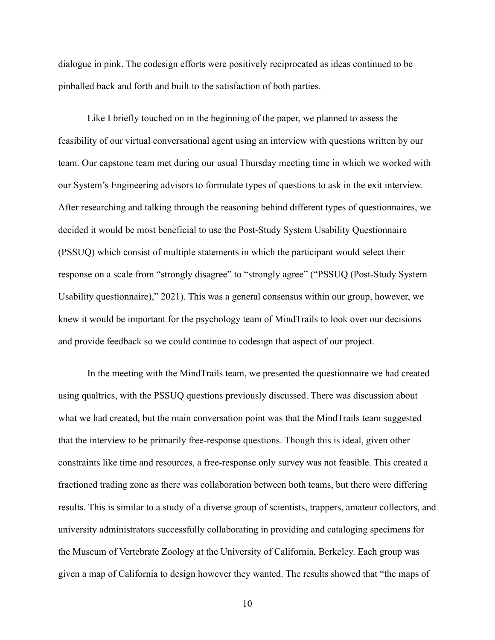dialogue in pink. The codesign efforts were positively reciprocated as ideas continued to be pinballed back and forth and built to the satisfaction of both parties.

Like I briefly touched on in the beginning of the paper, we planned to assess the feasibility of our virtual conversational agent using an interview with questions written by our team. Our capstone team met during our usual Thursday meeting time in which we worked with our System's Engineering advisors to formulate types of questions to ask in the exit interview. After researching and talking through the reasoning behind different types of questionnaires, we decided it would be most beneficial to use the Post-Study System Usability Questionnaire (PSSUQ) which consist of multiple statements in which the participant would select their response on a scale from "strongly disagree" to "strongly agree" ("PSSUQ (Post-Study System Usability questionnaire)," 2021). This was a general consensus within our group, however, we knew it would be important for the psychology team of MindTrails to look over our decisions and provide feedback so we could continue to codesign that aspect of our project.

In the meeting with the MindTrails team, we presented the questionnaire we had created using qualtrics, with the PSSUQ questions previously discussed. There was discussion about what we had created, but the main conversation point was that the MindTrails team suggested that the interview to be primarily free-response questions. Though this is ideal, given other constraints like time and resources, a free-response only survey was not feasible. This created a fractioned trading zone as there was collaboration between both teams, but there were differing results. This is similar to a study of a diverse group of scientists, trappers, amateur collectors, and university administrators successfully collaborating in providing and cataloging specimens for the Museum of Vertebrate Zoology at the University of California, Berkeley. Each group was given a map of California to design however they wanted. The results showed that "the maps of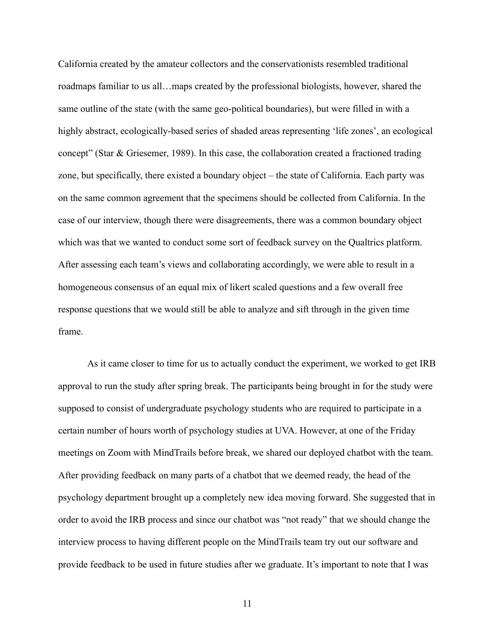California created by the amateur collectors and the conservationists resembled traditional roadmaps familiar to us all…maps created by the professional biologists, however, shared the same outline of the state (with the same geo-political boundaries), but were filled in with a highly abstract, ecologically-based series of shaded areas representing 'life zones', an ecological concept" (Star & Griesemer, 1989). In this case, the collaboration created a fractioned trading zone, but specifically, there existed a boundary object – the state of California. Each party was on the same common agreement that the specimens should be collected from California. In the case of our interview, though there were disagreements, there was a common boundary object which was that we wanted to conduct some sort of feedback survey on the Qualtrics platform. After assessing each team's views and collaborating accordingly, we were able to result in a homogeneous consensus of an equal mix of likert scaled questions and a few overall free response questions that we would still be able to analyze and sift through in the given time frame.

As it came closer to time for us to actually conduct the experiment, we worked to get IRB approval to run the study after spring break. The participants being brought in for the study were supposed to consist of undergraduate psychology students who are required to participate in a certain number of hours worth of psychology studies at UVA. However, at one of the Friday meetings on Zoom with MindTrails before break, we shared our deployed chatbot with the team. After providing feedback on many parts of a chatbot that we deemed ready, the head of the psychology department brought up a completely new idea moving forward. She suggested that in order to avoid the IRB process and since our chatbot was "not ready" that we should change the interview process to having different people on the MindTrails team try out our software and provide feedback to be used in future studies after we graduate. It's important to note that I was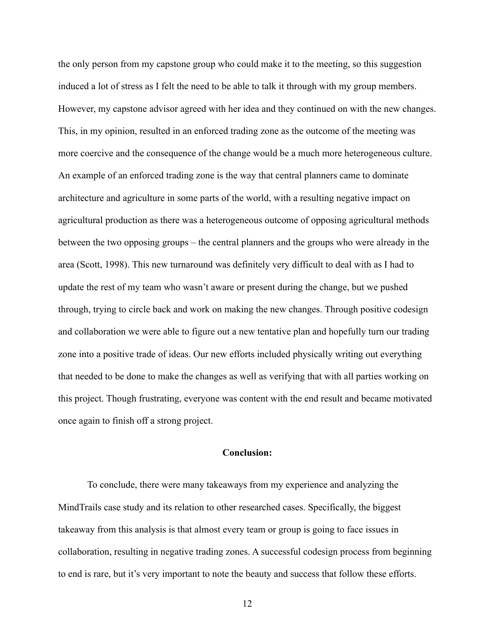the only person from my capstone group who could make it to the meeting, so this suggestion induced a lot of stress as I felt the need to be able to talk it through with my group members. However, my capstone advisor agreed with her idea and they continued on with the new changes. This, in my opinion, resulted in an enforced trading zone as the outcome of the meeting was more coercive and the consequence of the change would be a much more heterogeneous culture. An example of an enforced trading zone is the way that central planners came to dominate architecture and agriculture in some parts of the world, with a resulting negative impact on agricultural production as there was a heterogeneous outcome of opposing agricultural methods between the two opposing groups – the central planners and the groups who were already in the area (Scott, 1998). This new turnaround was definitely very difficult to deal with as I had to update the rest of my team who wasn't aware or present during the change, but we pushed through, trying to circle back and work on making the new changes. Through positive codesign and collaboration we were able to figure out a new tentative plan and hopefully turn our trading zone into a positive trade of ideas. Our new efforts included physically writing out everything that needed to be done to make the changes as well as verifying that with all parties working on this project. Though frustrating, everyone was content with the end result and became motivated once again to finish off a strong project.

## **Conclusion:**

To conclude, there were many takeaways from my experience and analyzing the MindTrails case study and its relation to other researched cases. Specifically, the biggest takeaway from this analysis is that almost every team or group is going to face issues in collaboration, resulting in negative trading zones. A successful codesign process from beginning to end is rare, but it's very important to note the beauty and success that follow these efforts.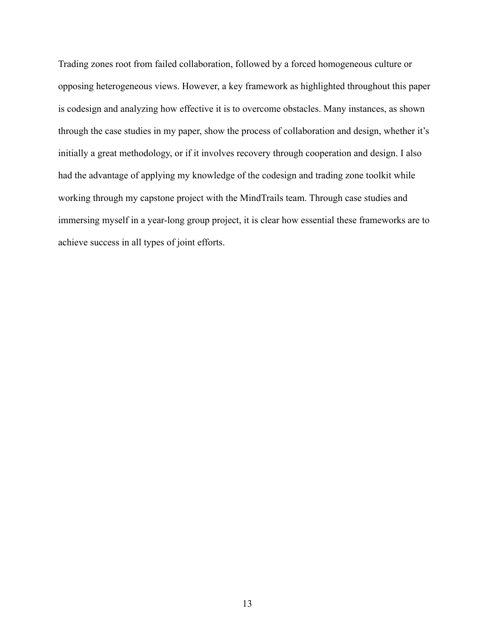Trading zones root from failed collaboration, followed by a forced homogeneous culture or opposing heterogeneous views. However, a key framework as highlighted throughout this paper is codesign and analyzing how effective it is to overcome obstacles. Many instances, as shown through the case studies in my paper, show the process of collaboration and design, whether it's initially a great methodology, or if it involves recovery through cooperation and design. I also had the advantage of applying my knowledge of the codesign and trading zone toolkit while working through my capstone project with the MindTrails team. Through case studies and immersing myself in a year-long group project, it is clear how essential these frameworks are to achieve success in all types of joint efforts.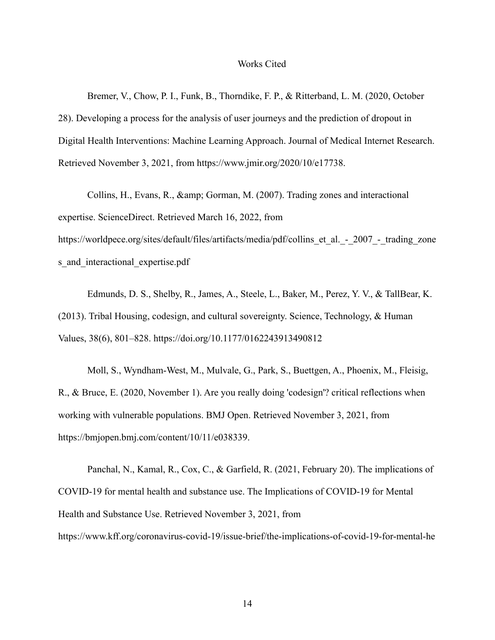#### Works Cited

Bremer, V., Chow, P. I., Funk, B., Thorndike, F. P., & Ritterband, L. M. (2020, October 28). Developing a process for the analysis of user journeys and the prediction of dropout in Digital Health Interventions: Machine Learning Approach. Journal of Medical Internet Research. Retrieved November 3, 2021, from https://www.jmir.org/2020/10/e17738.

Collins, H., Evans, R., & amp; Gorman, M. (2007). Trading zones and interactional expertise. ScienceDirect. Retrieved March 16, 2022, from

https://worldpece.org/sites/default/files/artifacts/media/pdf/collins\_et\_al.\_-\_2007\_-\_trading\_zone s and interactional expertise.pdf

Edmunds, D. S., Shelby, R., James, A., Steele, L., Baker, M., Perez, Y. V., & TallBear, K. (2013). Tribal Housing, codesign, and cultural sovereignty. Science, Technology, & Human Values, 38(6), 801–828. https://doi.org/10.1177/0162243913490812

Moll, S., Wyndham-West, M., Mulvale, G., Park, S., Buettgen, A., Phoenix, M., Fleisig, R., & Bruce, E. (2020, November 1). Are you really doing 'codesign'? critical reflections when working with vulnerable populations. BMJ Open. Retrieved November 3, 2021, from https://bmjopen.bmj.com/content/10/11/e038339.

Panchal, N., Kamal, R., Cox, C., & Garfield, R. (2021, February 20). The implications of COVID-19 for mental health and substance use. The Implications of COVID-19 for Mental Health and Substance Use. Retrieved November 3, 2021, from https://www.kff.org/coronavirus-covid-19/issue-brief/the-implications-of-covid-19-for-mental-he